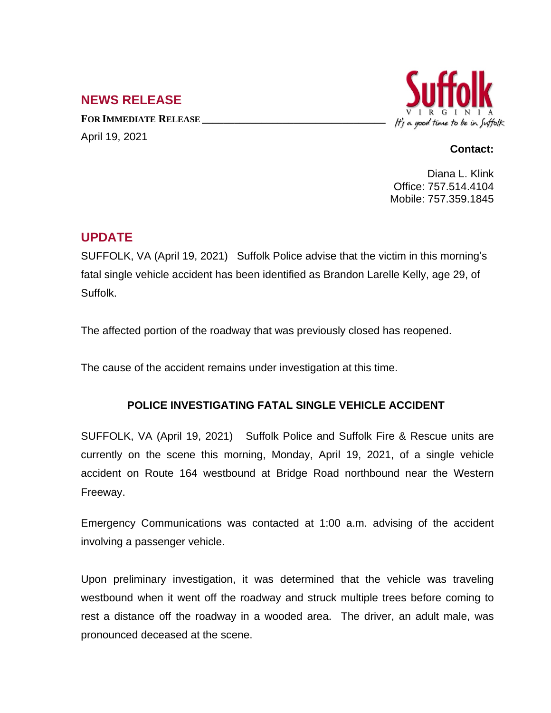## **NEWS RELEASE**

**FOR IMMEDIATE RELEASE \_\_\_\_\_\_\_\_\_\_\_\_\_\_\_\_\_\_\_\_\_\_\_\_\_\_\_\_\_\_\_\_\_\_** April 19, 2021



## **Contact:**

Diana L. Klink Office: 757.514.4104 Mobile: 757.359.1845

## **UPDATE**

SUFFOLK, VA (April 19, 2021) Suffolk Police advise that the victim in this morning's fatal single vehicle accident has been identified as Brandon Larelle Kelly, age 29, of Suffolk.

The affected portion of the roadway that was previously closed has reopened.

The cause of the accident remains under investigation at this time.

## **POLICE INVESTIGATING FATAL SINGLE VEHICLE ACCIDENT**

SUFFOLK, VA (April 19, 2021) Suffolk Police and Suffolk Fire & Rescue units are currently on the scene this morning, Monday, April 19, 2021, of a single vehicle accident on Route 164 westbound at Bridge Road northbound near the Western Freeway.

Emergency Communications was contacted at 1:00 a.m. advising of the accident involving a passenger vehicle.

Upon preliminary investigation, it was determined that the vehicle was traveling westbound when it went off the roadway and struck multiple trees before coming to rest a distance off the roadway in a wooded area. The driver, an adult male, was pronounced deceased at the scene.